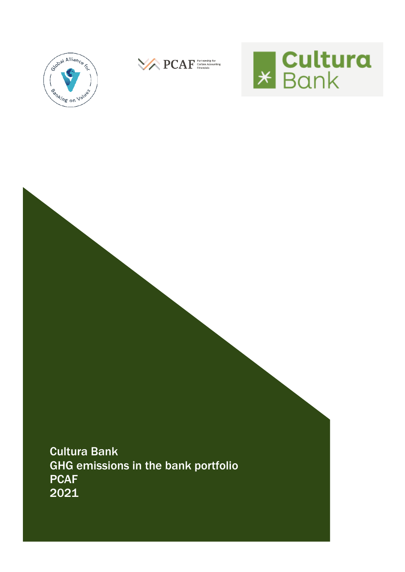





Cultura Bank GHG emissions in the bank portfolio **PCAF** 2021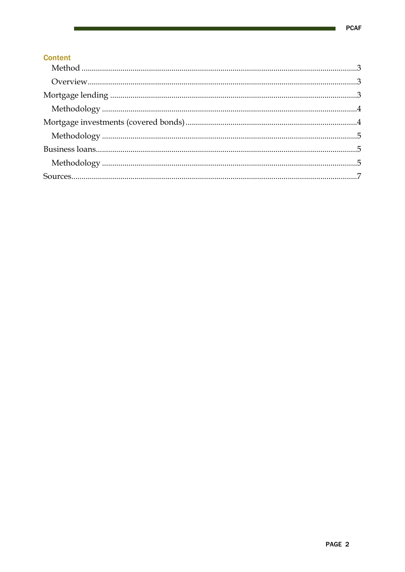# **Content**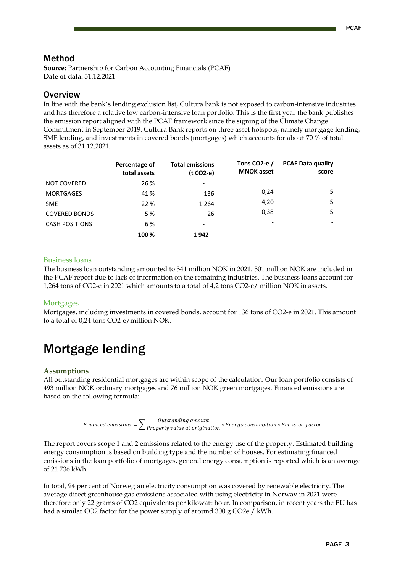# <span id="page-2-0"></span>Method

**Source:** Partnership for Carbon Accounting Financials (PCAF) **Date of data:** 31.12.2021

# <span id="page-2-1"></span>**Overview**

In line with the bank`s lending exclusion list, Cultura bank is not exposed to carbon-intensive industries and has therefore a relative low carbon-intensive loan portfolio. This is the first year the bank publishes the emission report aligned with the PCAF framework since the signing of the Climate Change Commitment in September 2019. Cultura Bank reports on three asset hotspots, namely mortgage lending, SME lending, and investments in covered bonds (mortgages) which accounts for about 70 % of total assets as of 31.12.2021.

|                       | Percentage of<br>total assets | <b>Total emissions</b><br>$(t CO2-e)$ | Tons CO <sub>2</sub> -e /<br><b>MNOK</b> asset | <b>PCAF Data quality</b><br>score |
|-----------------------|-------------------------------|---------------------------------------|------------------------------------------------|-----------------------------------|
| <b>NOT COVERED</b>    | 26 %                          |                                       | $\overline{\phantom{a}}$                       |                                   |
| <b>MORTGAGES</b>      | 41 %                          | 136                                   | 0,24                                           | 5                                 |
| <b>SME</b>            | 22 %                          | 1 2 6 4                               | 4,20                                           | 5                                 |
| <b>COVERED BONDS</b>  | 5 %                           | 26                                    | 0,38                                           | 5                                 |
| <b>CASH POSITIONS</b> | 6 %                           |                                       | $\overline{\phantom{a}}$                       |                                   |
|                       | 100 %                         | 1942                                  |                                                |                                   |

#### Business loans

The business loan outstanding amounted to 341 million NOK in 2021. 301 million NOK are included in the PCAF report due to lack of information on the remaining industries. The business loans account for 1,264 tons of CO2-e in 2021 which amounts to a total of 4,2 tons CO2-e/ million NOK in assets.

#### **Mortgages**

Mortgages, including investments in covered bonds, account for 136 tons of CO2-e in 2021. This amount to a total of 0,24 tons CO2-e/million NOK.

# <span id="page-2-2"></span>Mortgage lending

## **Assumptions**

All outstanding residential mortgages are within scope of the calculation. Our loan portfolio consists of 493 million NOK ordinary mortgages and 76 million NOK green mortgages. Financed emissions are based on the following formula:

$$
Financial emissions = \sum \frac{Outside\,amount}{Property\,value\,at\,origination} * Energy\,combination * Emission\,factor
$$

The report covers scope 1 and 2 emissions related to the energy use of the property. Estimated building energy consumption is based on building type and the number of houses. For estimating financed emissions in the loan portfolio of mortgages, general energy consumption is reported which is an average of 21 736 kWh.

In total, 94 per cent of Norwegian electricity consumption was covered by renewable electricity. The average direct greenhouse gas emissions associated with using electricity in Norway in 2021 were therefore only 22 grams of CO2 equivalents per kilowatt hour. In comparison, in recent years the EU has had a similar CO2 factor for the power supply of around 300 g CO2e / kWh.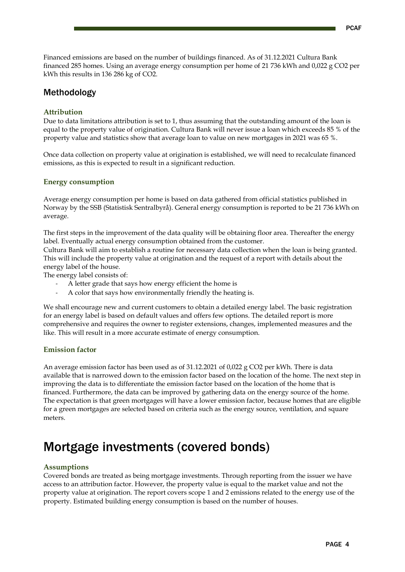Financed emissions are based on the number of buildings financed. As of 31.12.2021 Cultura Bank financed 285 homes. Using an average energy consumption per home of 21 736 kWh and 0,022 g CO2 per kWh this results in 136 286 kg of CO2.

# <span id="page-3-0"></span>Methodology

## **Attribution**

Due to data limitations attribution is set to 1, thus assuming that the outstanding amount of the loan is equal to the property value of origination. Cultura Bank will never issue a loan which exceeds 85 % of the property value and statistics show that average loan to value on new mortgages in 2021 was 65 %.

Once data collection on property value at origination is established, we will need to recalculate financed emissions, as this is expected to result in a significant reduction.

## **Energy consumption**

Average energy consumption per home is based on data gathered from official statistics published in Norway by the SSB (Statistisk Sentralbyrå). General energy consumption is reported to be 21 736 kWh on average.

The first steps in the improvement of the data quality will be obtaining floor area. Thereafter the energy label. Eventually actual energy consumption obtained from the customer.

Cultura Bank will aim to establish a routine for necessary data collection when the loan is being granted. This will include the property value at origination and the request of a report with details about the energy label of the house.

The energy label consists of:

- A letter grade that says how energy efficient the home is
- A color that says how environmentally friendly the heating is.

We shall encourage new and current customers to obtain a detailed energy label. The basic registration for an energy label is based on default values and offers few options. The detailed report is more comprehensive and requires the owner to register extensions, changes, implemented measures and the like. This will result in a more accurate estimate of energy consumption.

## **Emission factor**

An average emission factor has been used as of 31.12.2021 of 0,022 g CO2 per kWh. There is data available that is narrowed down to the emission factor based on the location of the home. The next step in improving the data is to differentiate the emission factor based on the location of the home that is financed. Furthermore, the data can be improved by gathering data on the energy source of the home. The expectation is that green mortgages will have a lower emission factor, because homes that are eligible for a green mortgages are selected based on criteria such as the energy source, ventilation, and square meters.

# <span id="page-3-1"></span>Mortgage investments (covered bonds)

#### **Assumptions**

Covered bonds are treated as being mortgage investments. Through reporting from the issuer we have access to an attribution factor. However, the property value is equal to the market value and not the property value at origination. The report covers scope 1 and 2 emissions related to the energy use of the property. Estimated building energy consumption is based on the number of houses.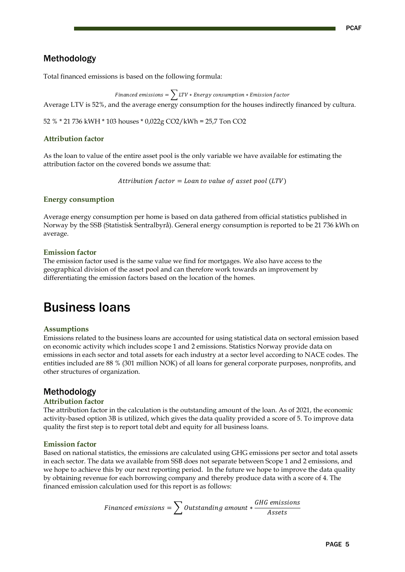# <span id="page-4-0"></span>Methodology

Total financed emissions is based on the following formula:

Financed emissions =  $\sum_{\text{LTV}}$  \* Energy consumption \* Emission factor Average LTV is 52%, and the average energy consumption for the houses indirectly financed by cultura.

52 % \* 21 736 kWH \* 103 houses \* 0,022g CO2/kWh = 25,7 Ton CO2

## **Attribution factor**

As the loan to value of the entire asset pool is the only variable we have available for estimating the attribution factor on the covered bonds we assume that:

Attribution  $factor = Loan$  to value of asset pool (LTV)

## **Energy consumption**

Average energy consumption per home is based on data gathered from official statistics published in Norway by the SSB (Statistisk Sentralbyrå). General energy consumption is reported to be 21 736 kWh on average.

#### **Emission factor**

The emission factor used is the same value we find for mortgages. We also have access to the geographical division of the asset pool and can therefore work towards an improvement by differentiating the emission factors based on the location of the homes.

# <span id="page-4-1"></span>Business loans

## **Assumptions**

Emissions related to the business loans are accounted for using statistical data on sectoral emission based on economic activity which includes scope 1 and 2 emissions. Statistics Norway provide data on emissions in each sector and total assets for each industry at a sector level according to NACE codes. The entities included are 88 % (301 million NOK) of all loans for general corporate purposes, nonprofits, and other structures of organization.

# <span id="page-4-2"></span>Methodology

## **Attribution factor**

The attribution factor in the calculation is the outstanding amount of the loan. As of 2021, the economic activity-based option 3B is utilized, which gives the data quality provided a score of 5. To improve data quality the first step is to report total debt and equity for all business loans.

#### **Emission factor**

Based on national statistics, the emissions are calculated using GHG emissions per sector and total assets in each sector. The data we available from SSB does not separate between Scope 1 and 2 emissions, and we hope to achieve this by our next reporting period. In the future we hope to improve the data quality by obtaining revenue for each borrowing company and thereby produce data with a score of 4. The financed emission calculation used for this report is as follows:

$$
Financial emissions = \sum Outstanding\ amount * \frac{GHG\ emissions}{Assets}
$$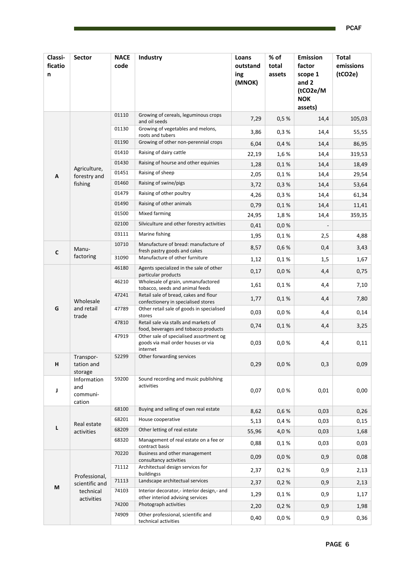| Classi-<br>ficatio<br>n | <b>Sector</b>                                              | <b>NACE</b><br>code | Industry                                                                                  | Loans<br>outstand<br>ing<br>(MNOK) | % of<br>total<br>assets | <b>Emission</b><br>factor<br>scope 1<br>and 2<br>(tCO2e/M<br><b>NOK</b><br>assets) | <b>Total</b><br>emissions<br>(tCO2e) |
|-------------------------|------------------------------------------------------------|---------------------|-------------------------------------------------------------------------------------------|------------------------------------|-------------------------|------------------------------------------------------------------------------------|--------------------------------------|
|                         |                                                            | 01110               | Growing of cereals, leguminous crops<br>and oil seeds                                     | 7,29                               | 0,5%                    | 14,4                                                                               | 105,03                               |
|                         |                                                            | 01130               | Growing of vegetables and melons,<br>roots and tubers                                     | 3,86                               | 0,3%                    | 14,4                                                                               | 55,55                                |
|                         |                                                            | 01190               | Growing of other non-perennial crops                                                      | 6,04                               | 0,4%                    | 14,4                                                                               | 86,95                                |
|                         |                                                            | 01410               | Raising of dairy cattle                                                                   | 22,19                              | 1,6%                    | 14,4                                                                               | 319,53                               |
|                         | Agriculture,                                               | 01430               | Raising of hourse and other equinies                                                      | 1,28                               | 0,1%                    | 14,4                                                                               | 18,49                                |
| Α                       | forestry and                                               | 01451               | Raising of sheep                                                                          | 2,05                               | 0,1%                    | 14,4                                                                               | 29,54                                |
|                         | fishing                                                    | 01460               | Raising of swine/pigs                                                                     | 3,72                               | 0,3%                    | 14,4                                                                               | 53,64                                |
|                         |                                                            | 01479               | Raising of other poultry                                                                  | 4,26                               | 0,3%                    | 14,4                                                                               | 61,34                                |
|                         |                                                            | 01490               | Raising of other animals                                                                  | 0,79                               | 0,1%                    | 14,4                                                                               | 11,41                                |
|                         |                                                            | 01500               | Mixed farming                                                                             | 24,95                              | 1,8%                    | 14,4                                                                               | 359,35                               |
|                         |                                                            | 02100               | Silviculture and other forestry activities                                                | 0,41                               | 0,0%                    |                                                                                    |                                      |
|                         |                                                            | 03111               | Marine fishing                                                                            | 1,95                               | 0,1%                    | 2,5                                                                                | 4,88                                 |
| $\mathsf{C}$            | Manu-                                                      | 10710               | Manufacture of bread: manufacture of<br>fresh pastry goods and cakes                      | 8,57                               | 0,6%                    | 0,4                                                                                | 3,43                                 |
|                         | factoring                                                  | 31090               | Manufacture of other furniture                                                            | 1,12                               | 0,1%                    | 1,5                                                                                | 1,67                                 |
|                         |                                                            | 46180               | Agents specialized in the sale of other<br>particular products                            | 0,17                               | 0,0%                    | 4,4                                                                                | 0,75                                 |
|                         | Wholesale<br>and retail<br>trade                           | 46210               | Wholesale of grain, unmanufactored<br>tobacco, seeds and animal feeds                     | 1,61                               | 0,1%                    | 4,4                                                                                | 7,10                                 |
|                         |                                                            | 47241               | Retail sale of bread, cakes and flour<br>confectionery in specialised stores              | 1,77                               | 0,1%                    | 4,4                                                                                | 7,80                                 |
| G                       |                                                            | 47789               | Other retail sale of goods in specialised<br>stores                                       | 0,03                               | 0,0%                    | 4,4                                                                                | 0,14                                 |
|                         |                                                            | 47810               | Retail sale via stalls and markets of<br>food, beverages and tobacco products             | 0,74                               | 0,1%                    | 4,4                                                                                | 3,25                                 |
|                         |                                                            | 47919               | Other sale of specialised assortment og<br>goods via mail order houses or via<br>internet | 0,03                               | 0,0%                    | 4,4                                                                                | 0,11                                 |
| н                       | Transpor-<br>tation and<br>storage                         | 52299               | Other forwarding services                                                                 | 0,29                               | 0,0%                    | 0,3                                                                                | 0,09                                 |
| J                       | Information<br>and<br>communi-<br>cation                   | 59200               | Sound recording and music publishing<br>activities                                        | 0,07                               | 0,0%                    | 0,01                                                                               | 0,00                                 |
|                         | Real estate<br>activities                                  | 68100               | Buying and selling of own real estate                                                     | 8,62                               | 0,6 %                   | 0,03                                                                               | 0,26                                 |
|                         |                                                            | 68201               | House cooperative                                                                         | 5,13                               | 0,4%                    | 0,03                                                                               | 0,15                                 |
| L                       |                                                            | 68209               | Other letting of real estate                                                              | 55,96                              | 4,0%                    | 0,03                                                                               | 1,68                                 |
|                         |                                                            | 68320               | Management of real estate on a fee or<br>contract basis                                   | 0,88                               | 0,1%                    | 0,03                                                                               | 0,03                                 |
|                         | Professional,<br>scientific and<br>technical<br>activities | 70220               | Business and other management<br>consultancy activities                                   | 0,09                               | 0,0%                    | 0,9                                                                                | 0,08                                 |
|                         |                                                            | 71112               | Architectual design services for<br>buildingss                                            | 2,37                               | 0,2%                    | 0,9                                                                                | 2,13                                 |
|                         |                                                            | 71113               | Landscape architectual services                                                           | 2,37                               | 0,2%                    | 0,9                                                                                | 2,13                                 |
| М                       |                                                            | 74103               | Interior decorator,- interior design,- and<br>other interiod advising services            | 1,29                               | 0,1%                    | 0,9                                                                                | 1,17                                 |
|                         |                                                            | 74200               | Photograph activities                                                                     | 2,20                               | 0,2%                    | 0,9                                                                                | 1,98                                 |
|                         |                                                            | 74909               | Other professional, scientific and<br>technical activities                                | 0,40                               | 0,0%                    | 0,9                                                                                | 0,36                                 |